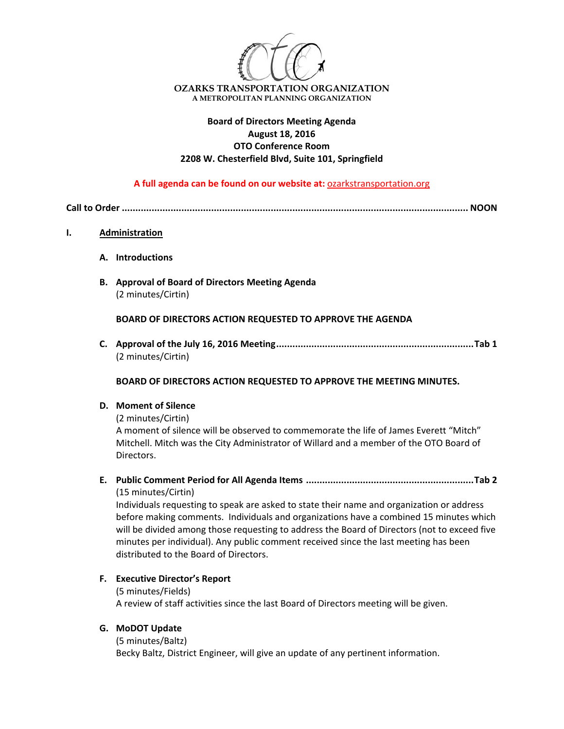

# **Board of Directors Meeting Agenda August 18, 2016 OTO Conference Room 2208 W. Chesterfield Blvd, Suite 101, Springfield**

**A full agenda can be found on our website at:** ozarkstransportation.org

**Call to Order ................................................................................................................................ NOON**

## **I. Administration**

- **A. Introductions**
- **B. Approval of Board of Directors Meeting Agenda** (2 minutes/Cirtin)

**BOARD OF DIRECTORS ACTION REQUESTED TO APPROVE THE AGENDA**

**C. Approval of the July 16, 2016 Meeting.........................................................................Tab 1** (2 minutes/Cirtin)

**BOARD OF DIRECTORS ACTION REQUESTED TO APPROVE THE MEETING MINUTES.**

#### **D. Moment of Silence**

(2 minutes/Cirtin)

A moment of silence will be observed to commemorate the life of James Everett "Mitch" Mitchell. Mitch was the City Administrator of Willard and a member of the OTO Board of Directors.

**E. Public Comment Period for All Agenda Items ..............................................................Tab 2** (15 minutes/Cirtin)

Individuals requesting to speak are asked to state their name and organization or address before making comments. Individuals and organizations have a combined 15 minutes which will be divided among those requesting to address the Board of Directors (not to exceed five minutes per individual). Any public comment received since the last meeting has been distributed to the Board of Directors.

### **F. Executive Director's Report**

(5 minutes/Fields) A review of staff activities since the last Board of Directors meeting will be given.

### **G. MoDOT Update**

(5 minutes/Baltz)

Becky Baltz, District Engineer, will give an update of any pertinent information.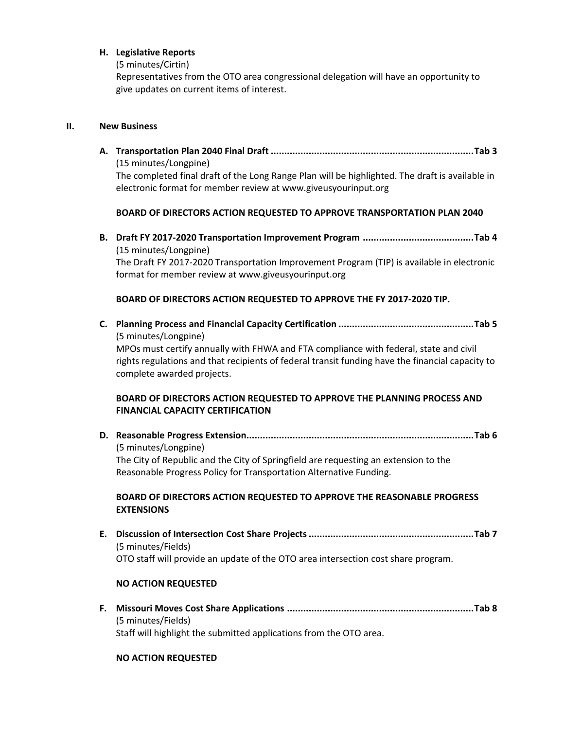### **H. Legislative Reports**

(5 minutes/Cirtin)

Representatives from the OTO area congressional delegation will have an opportunity to give updates on current items of interest.

### **II. New Business**

**A. Transportation Plan 2040 Final Draft ...........................................................................Tab 3** (15 minutes/Longpine) The completed final draft of the Long Range Plan will be highlighted. The draft is available in electronic format for member review at www.giveusyourinput.org

## **BOARD OF DIRECTORS ACTION REQUESTED TO APPROVE TRANSPORTATION PLAN 2040**

**B. Draft FY 2017‐2020 Transportation Improvement Program .........................................Tab 4** (15 minutes/Longpine) The Draft FY 2017‐2020 Transportation Improvement Program (TIP) is available in electronic format for member review at www.giveusyourinput.org

# **BOARD OF DIRECTORS ACTION REQUESTED TO APPROVE THE FY 2017‐2020 TIP.**

- **C. Planning Process and Financial Capacity Certification ..................................................Tab 5** (5 minutes/Longpine) MPOs must certify annually with FHWA and FTA compliance with federal, state and civil rights regulations and that recipients of federal transit funding have the financial capacity to complete awarded projects. **BOARD OF DIRECTORS ACTION REQUESTED TO APPROVE THE PLANNING PROCESS AND FINANCIAL CAPACITY CERTIFICATION**
- **D. Reasonable Progress Extension....................................................................................Tab 6** (5 minutes/Longpine) The City of Republic and the City of Springfield are requesting an extension to the Reasonable Progress Policy for Transportation Alternative Funding.

## **BOARD OF DIRECTORS ACTION REQUESTED TO APPROVE THE REASONABLE PROGRESS EXTENSIONS**

**E. Discussion of Intersection Cost Share Projects.............................................................Tab 7** (5 minutes/Fields) OTO staff will provide an update of the OTO area intersection cost share program.

# **NO ACTION REQUESTED**

**F. Missouri Moves Cost Share Applications .....................................................................Tab 8** (5 minutes/Fields) Staff will highlight the submitted applications from the OTO area.

# **NO ACTION REQUESTED**